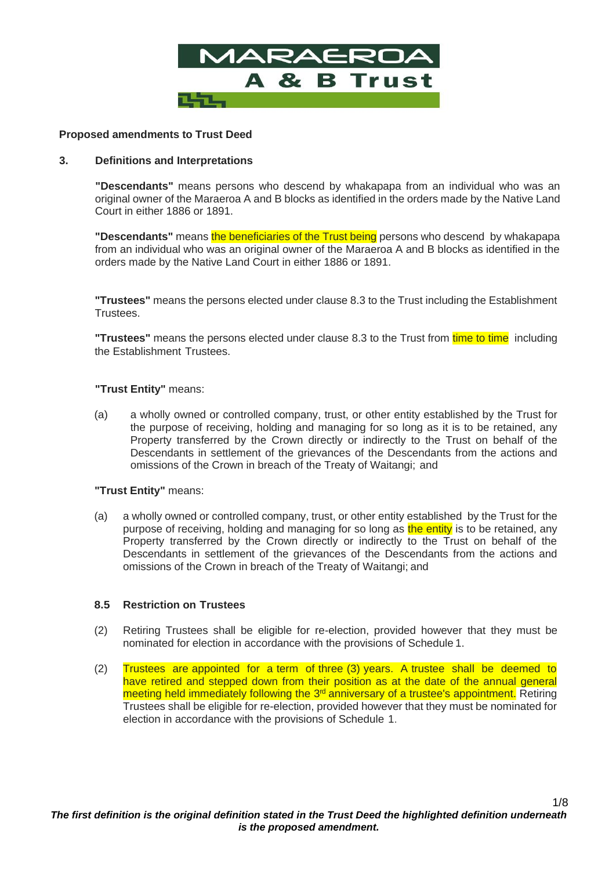

# **Proposed amendments to Trust Deed**

#### **3. Definitions and Interpretations**

**"Descendants"** means persons who descend by whakapapa from an individual who was an original owner of the Maraeroa A and B blocks as identified in the orders made by the Native Land Court in either 1886 or 1891.

**"Descendants"** means the beneficiaries of the Trust being persons who descend by whakapapa from an individual who was an original owner of the Maraeroa A and B blocks as identified in the orders made by the Native Land Court in either 1886 or 1891.

**"Trustees"** means the persons elected under clause 8.3 to the Trust including the Establishment Trustees.

**"Trustees"** means the persons elected under clause 8.3 to the Trust from time to time including the Establishment Trustees.

#### **"Trust Entity"** means:

(a) a wholly owned or controlled company, trust, or other entity established by the Trust for the purpose of receiving, holding and managing for so long as it is to be retained, any Property transferred by the Crown directly or indirectly to the Trust on behalf of the Descendants in settlement of the grievances of the Descendants from the actions and omissions of the Crown in breach of the Treaty of Waitangi; and

#### **"Trust Entity"** means:

(a) a wholly owned or controlled company, trust, or other entity established by the Trust for the purpose of receiving, holding and managing for so long as the entity is to be retained, any Property transferred by the Crown directly or indirectly to the Trust on behalf of the Descendants in settlement of the grievances of the Descendants from the actions and omissions of the Crown in breach of the Treaty of Waitangi; and

#### **8.5 Restriction on Trustees**

- (2) Retiring Trustees shall be eligible for re-election, provided however that they must be nominated for election in accordance with the provisions of Schedule 1.
- (2) Trustees are appointed for a term of three (3) years. A trustee shall be deemed to have retired and stepped down from their position as at the date of the annual general meeting held immediately following the 3<sup>rd</sup> anniversary of a trustee's appointment. Retiring Trustees shall be eligible for re-election, provided however that they must be nominated for election in accordance with the provisions of Schedule 1.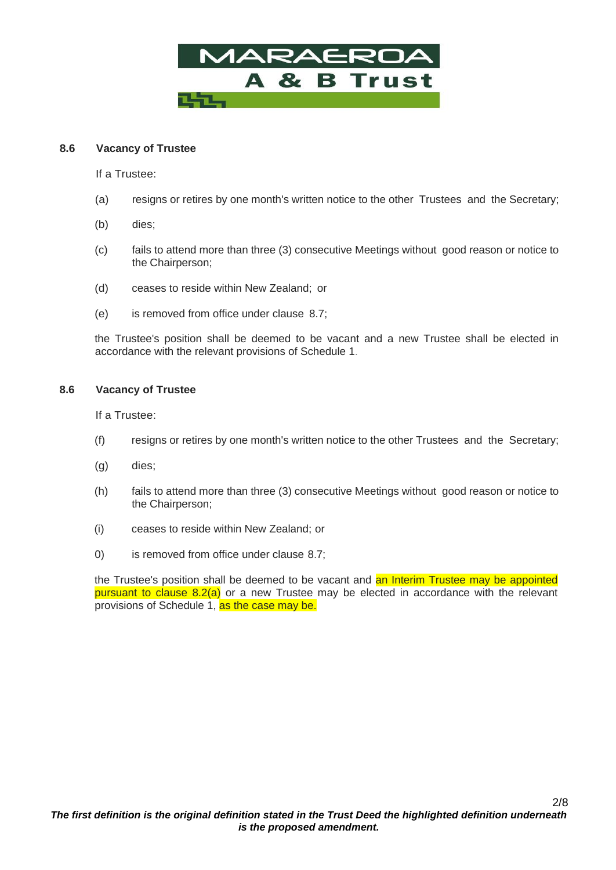

# **8.6 Vacancy of Trustee**

If a Trustee:

- (a) resigns or retires by one month's written notice to the other Trustees and the Secretary;
- (b) dies;
- (c) fails to attend more than three (3) consecutive Meetings without good reason or notice to the Chairperson;
- (d) ceases to reside within New Zealand; or
- (e) is removed from office under clause 8.7;

the Trustee's position shall be deemed to be vacant and a new Trustee shall be elected in accordance with the relevant provisions of Schedule 1.

#### **8.6 Vacancy of Trustee**

If a Trustee:

- (f) resigns or retires by one month's written notice to the other Trustees and the Secretary;
- (g) dies;
- (h) fails to attend more than three (3) consecutive Meetings without good reason or notice to the Chairperson;
- (i) ceases to reside within New Zealand; or
- 0) is removed from office under clause 8.7;

the Trustee's position shall be deemed to be vacant and an Interim Trustee may be appointed pursuant to clause 8.2(a) or a new Trustee may be elected in accordance with the relevant provisions of Schedule 1, as the case may be.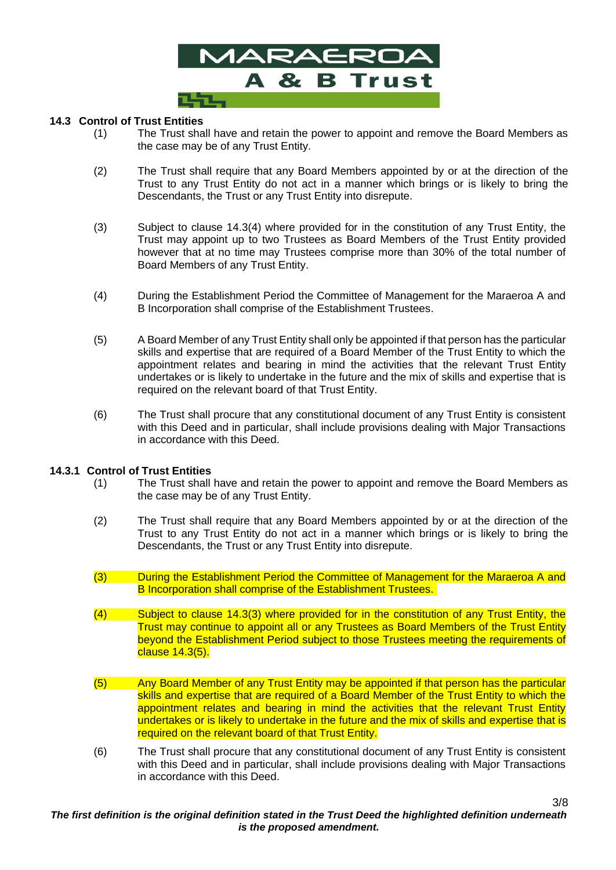

# **14.3 Control of Trust Entities**

- (1) The Trust shall have and retain the power to appoint and remove the Board Members as the case may be of any Trust Entity.
- (2) The Trust shall require that any Board Members appointed by or at the direction of the Trust to any Trust Entity do not act in a manner which brings or is likely to bring the Descendants, the Trust or any Trust Entity into disrepute.
- (3) Subject to clause 14.3(4) where provided for in the constitution of any Trust Entity, the Trust may appoint up to two Trustees as Board Members of the Trust Entity provided however that at no time may Trustees comprise more than 30% of the total number of Board Members of any Trust Entity.
- (4) During the Establishment Period the Committee of Management for the Maraeroa A and B Incorporation shall comprise of the Establishment Trustees.
- (5) A Board Member of any Trust Entity shall only be appointed if that person has the particular skills and expertise that are required of a Board Member of the Trust Entity to which the appointment relates and bearing in mind the activities that the relevant Trust Entity undertakes or is likely to undertake in the future and the mix of skills and expertise that is required on the relevant board of that Trust Entity.
- (6) The Trust shall procure that any constitutional document of any Trust Entity is consistent with this Deed and in particular, shall include provisions dealing with Major Transactions in accordance with this Deed.

#### **14.3.1 Control of Trust Entities**

- (1) The Trust shall have and retain the power to appoint and remove the Board Members as the case may be of any Trust Entity.
- (2) The Trust shall require that any Board Members appointed by or at the direction of the Trust to any Trust Entity do not act in a manner which brings or is likely to bring the Descendants, the Trust or any Trust Entity into disrepute.
- (3) During the Establishment Period the Committee of Management for the Maraeroa A and B Incorporation shall comprise of the Establishment Trustees.
- (4) Subject to clause 14.3(3) where provided for in the constitution of any Trust Entity, the Trust may continue to appoint all or any Trustees as Board Members of the Trust Entity beyond the Establishment Period subject to those Trustees meeting the requirements of clause 14.3(5).
- (5) Any Board Member of any Trust Entity may be appointed if that person has the particular skills and expertise that are required of a Board Member of the Trust Entity to which the appointment relates and bearing in mind the activities that the relevant Trust Entity undertakes or is likely to undertake in the future and the mix of skills and expertise that is required on the relevant board of that Trust Entity.
- (6) The Trust shall procure that any constitutional document of any Trust Entity is consistent with this Deed and in particular, shall include provisions dealing with Major Transactions in accordance with this Deed.

3/8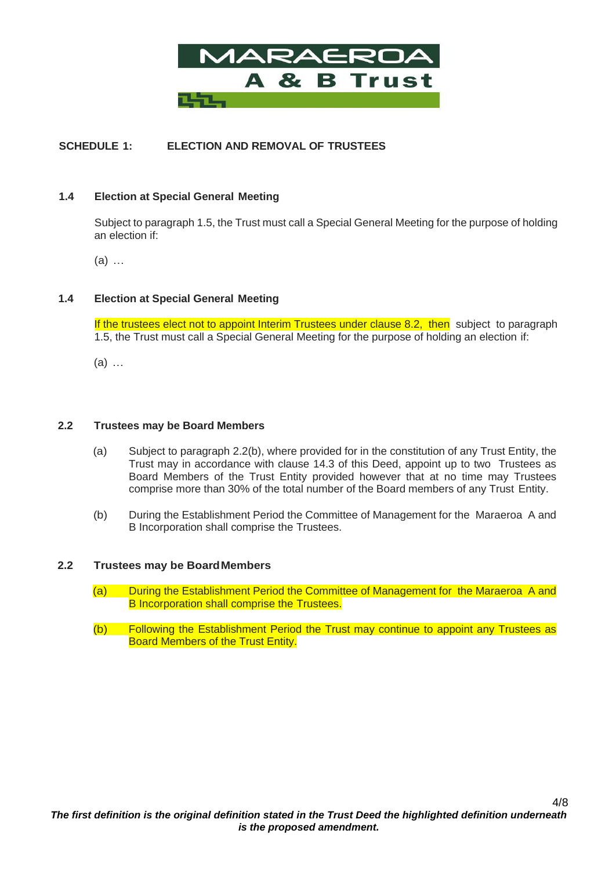

# **SCHEDULE 1: ELECTION AND REMOVAL OF TRUSTEES**

### **1.4 Election at Special General Meeting**

Subject to paragraph 1.5, the Trust must call a Special General Meeting for the purpose of holding an election if:

(a) …

# **1.4 Election at Special General Meeting**

If the trustees elect not to appoint Interim Trustees under clause 8.2, then subject to paragraph 1.5, the Trust must call a Special General Meeting for the purpose of holding an election if:

(a) …

#### **2.2 Trustees may be Board Members**

- (a) Subject to paragraph 2.2(b), where provided for in the constitution of any Trust Entity, the Trust may in accordance with clause 14.3 of this Deed, appoint up to two Trustees as Board Members of the Trust Entity provided however that at no time may Trustees comprise more than 30% of the total number of the Board members of any Trust Entity.
- (b) During the Establishment Period the Committee of Management for the Maraeroa A and B Incorporation shall comprise the Trustees.

#### **2.2 Trustees may be BoardMembers**

- (a) During the Establishment Period the Committee of Management for the Maraeroa A and B Incorporation shall comprise the Trustees.
- (b) Following the Establishment Period the Trust may continue to appoint any Trustees as Board Members of the Trust Entity.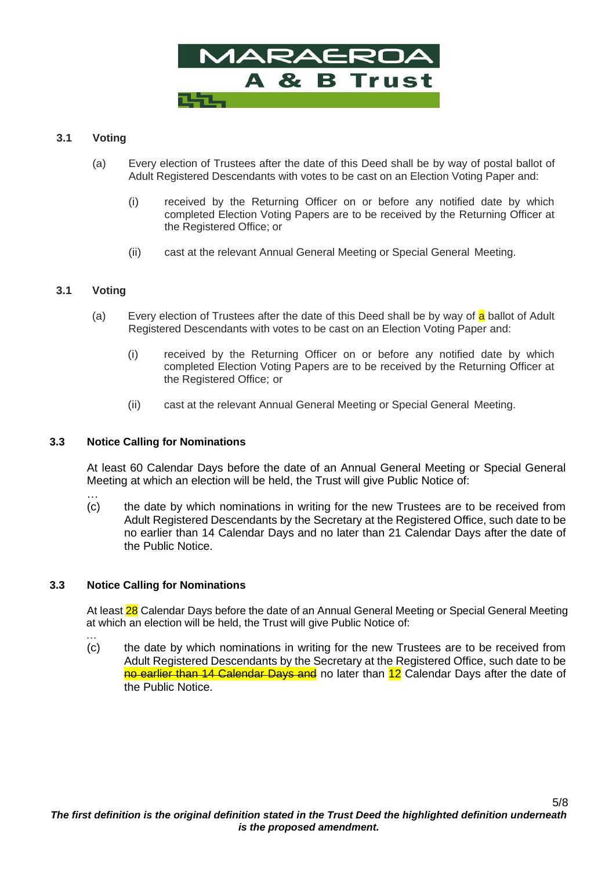

# **3.1 Voting**

- (a) Every election of Trustees after the date of this Deed shall be by way of postal ballot of Adult Registered Descendants with votes to be cast on an Election Voting Paper and:
	- (i) received by the Returning Officer on or before any notified date by which completed Election Voting Papers are to be received by the Returning Officer at the Registered Office; or
	- (ii) cast at the relevant Annual General Meeting or Special General Meeting.

# **3.1 Voting**

- (a) Every election of Trustees after the date of this Deed shall be by way of a ballot of Adult Registered Descendants with votes to be cast on an Election Voting Paper and:
	- (i) received by the Returning Officer on or before any notified date by which completed Election Voting Papers are to be received by the Returning Officer at the Registered Office; or
	- (ii) cast at the relevant Annual General Meeting or Special General Meeting.

#### **3.3 Notice Calling for Nominations**

At least 60 Calendar Days before the date of an Annual General Meeting or Special General Meeting at which an election will be held, the Trust will give Public Notice of:

… (c) the date by which nominations in writing for the new Trustees are to be received from Adult Registered Descendants by the Secretary at the Registered Office, such date to be no earlier than 14 Calendar Days and no later than 21 Calendar Days after the date of the Public Notice.

#### **3.3 Notice Calling for Nominations**

…

At least 28 Calendar Days before the date of an Annual General Meeting or Special General Meeting at which an election will be held, the Trust will give Public Notice of:

(c) the date by which nominations in writing for the new Trustees are to be received from Adult Registered Descendants by the Secretary at the Registered Office, such date to be no earlier than 14 Calendar Days and no later than 12 Calendar Days after the date of the Public Notice.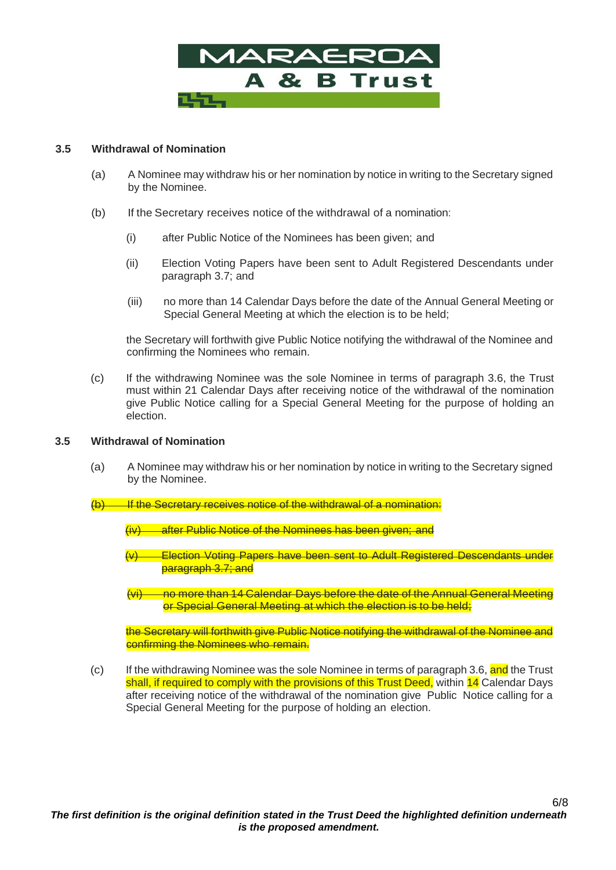

# **3.5 Withdrawal of Nomination**

- (a) A Nominee may withdraw his or her nomination by notice in writing to the Secretary signed by the Nominee.
- (b) If the Secretary receives notice of the withdrawal of a nomination:
	- (i) after Public Notice of the Nominees has been given; and
	- (ii) Election Voting Papers have been sent to Adult Registered Descendants under paragraph 3.7; and
	- (iii) no more than 14 Calendar Days before the date of the Annual General Meeting or Special General Meeting at which the election is to be held;

the Secretary will forthwith give Public Notice notifying the withdrawal of the Nominee and confirming the Nominees who remain.

(c) If the withdrawing Nominee was the sole Nominee in terms of paragraph 3.6, the Trust must within 21 Calendar Days after receiving notice of the withdrawal of the nomination give Public Notice calling for a Special General Meeting for the purpose of holding an election.

#### **3.5 Withdrawal of Nomination**

(a) A Nominee may withdraw his or her nomination by notice in writing to the Secretary signed by the Nominee.

 $(b)$  If the Secretary receives notice of the withdrawal of a nomination:

(iv) after Public Notice of the Nominees has been given; and

- **Election Voting Papers have been sent to Adult Registered Descendants under** paragraph 3.7; and
- (vi) no more than 14 Calendar Days before the date of the Annual General Meeting or Special General Meeting at which the election is to be held;

the Secretary will forthwith give Public Notice notifying the withdrawal of the Nominee and confirming the Nominees who remain.

(c) If the withdrawing Nominee was the sole Nominee in terms of paragraph 3.6, and the Trust shall, if required to comply with the provisions of this Trust Deed, within 14 Calendar Days after receiving notice of the withdrawal of the nomination give Public Notice calling for a Special General Meeting for the purpose of holding an election.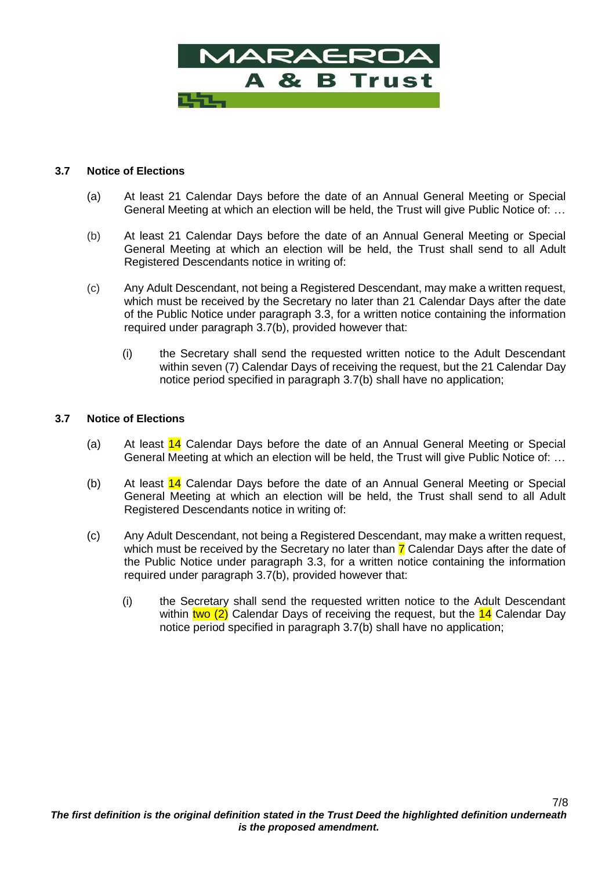

### **3.7 Notice of Elections**

- (a) At least 21 Calendar Days before the date of an Annual General Meeting or Special General Meeting at which an election will be held, the Trust will give Public Notice of: …
- (b) At least 21 Calendar Days before the date of an Annual General Meeting or Special General Meeting at which an election will be held, the Trust shall send to all Adult Registered Descendants notice in writing of:
- (c) Any Adult Descendant, not being a Registered Descendant, may make a written request, which must be received by the Secretary no later than 21 Calendar Days after the date of the Public Notice under paragraph 3.3, for a written notice containing the information required under paragraph 3.7(b), provided however that:
	- (i) the Secretary shall send the requested written notice to the Adult Descendant within seven (7) Calendar Days of receiving the request, but the 21 Calendar Day notice period specified in paragraph 3.7(b) shall have no application;

# **3.7 Notice of Elections**

- (a) At least  $14$  Calendar Days before the date of an Annual General Meeting or Special General Meeting at which an election will be held, the Trust will give Public Notice of: …
- (b) At least  $14$  Calendar Days before the date of an Annual General Meeting or Special General Meeting at which an election will be held, the Trust shall send to all Adult Registered Descendants notice in writing of:
- (c) Any Adult Descendant, not being a Registered Descendant, may make a written request, which must be received by the Secretary no later than  $\overline{7}$  Calendar Days after the date of the Public Notice under paragraph 3.3, for a written notice containing the information required under paragraph 3.7(b), provided however that:
	- (i) the Secretary shall send the requested written notice to the Adult Descendant within two (2) Calendar Days of receiving the request, but the  $14$  Calendar Day notice period specified in paragraph 3.7(b) shall have no application;